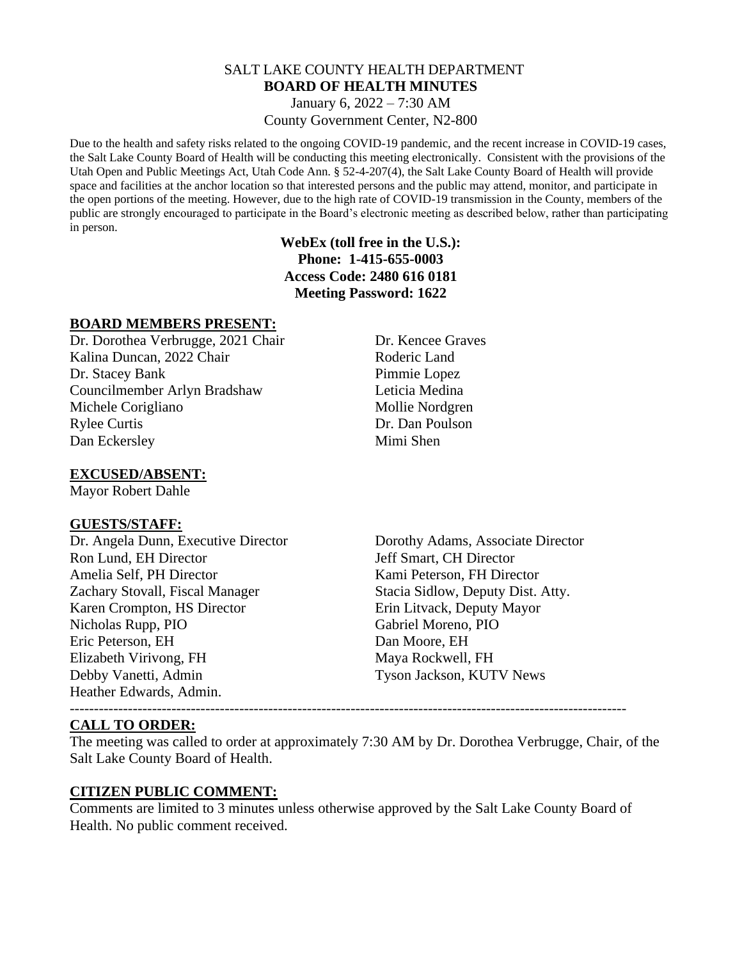### SALT LAKE COUNTY HEALTH DEPARTMENT **BOARD OF HEALTH MINUTES** January 6, 2022 – 7:30 AM

County Government Center, N2-800

Due to the health and safety risks related to the ongoing COVID-19 pandemic, and the recent increase in COVID-19 cases, the Salt Lake County Board of Health will be conducting this meeting electronically. Consistent with the provisions of the Utah Open and Public Meetings Act, Utah Code Ann. § 52-4-207(4), the Salt Lake County Board of Health will provide space and facilities at the anchor location so that interested persons and the public may attend, monitor, and participate in the open portions of the meeting. However, due to the high rate of COVID-19 transmission in the County, members of the public are strongly encouraged to participate in the Board's electronic meeting as described below, rather than participating in person.

# **WebEx (toll free in the U.S.): Phone: 1-415-655-0003 Access Code: 2480 616 0181 Meeting Password: 1622**

# **BOARD MEMBERS PRESENT:**

Dr. Dorothea Verbrugge, 2021 Chair Dr. Kencee Graves Kalina Duncan, 2022 Chair Roderic Land Dr. Stacey Bank Pimmie Lopez Councilmember Arlyn Bradshaw Leticia Medina Michele Corigliano Mollie Nordgren Rylee Curtis Dr. Dan Poulson Dan Eckersley Mimi Shen

# **EXCUSED/ABSENT:**

Mayor Robert Dahle

### **GUESTS/STAFF:**

Ron Lund, EH Director **Figure 3** Jeff Smart, CH Director Amelia Self, PH Director **Kami Peterson, FH Director** Zachary Stovall, Fiscal Manager Stacia Sidlow, Deputy Dist. Atty. Karen Crompton, HS Director Erin Litvack, Deputy Mayor Nicholas Rupp, PIO Gabriel Moreno, PIO Eric Peterson, EH Dan Moore, EH Elizabeth Virivong, FH Maya Rockwell, FH Debby Vanetti, Admin Tyson Jackson, KUTV News Heather Edwards, Admin.

Dr. Angela Dunn, Executive Director Dorothy Adams, Associate Director

-------------------------------------------------------------------------------------------------------------------

# **CALL TO ORDER:**

The meeting was called to order at approximately 7:30 AM by Dr. Dorothea Verbrugge, Chair, of the Salt Lake County Board of Health.

### **CITIZEN PUBLIC COMMENT:**

Comments are limited to 3 minutes unless otherwise approved by the Salt Lake County Board of Health. No public comment received.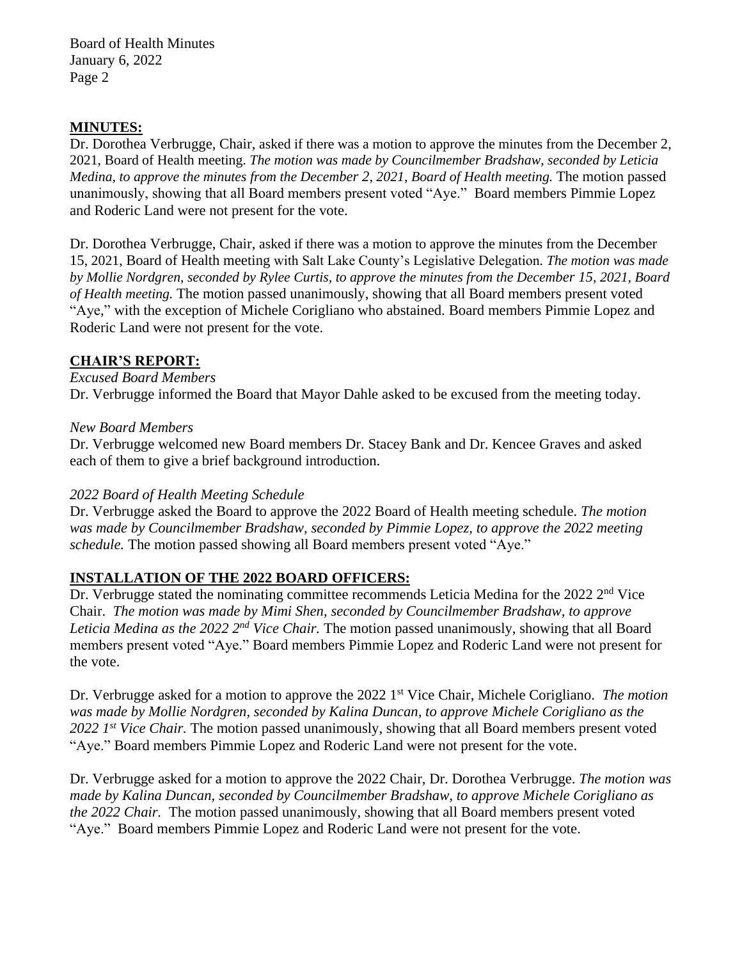Board of Health Minutes January 6, 2022 Page 2

# **MINUTES:**

Dr. Dorothea Verbrugge, Chair, asked if there was a motion to approve the minutes from the December 2, 2021, Board of Health meeting. *The motion was made by Councilmember Bradshaw, seconded by Leticia Medina, to approve the minutes from the December 2, 2021, Board of Health meeting.* The motion passed unanimously, showing that all Board members present voted "Aye." Board members Pimmie Lopez and Roderic Land were not present for the vote.

Dr. Dorothea Verbrugge, Chair, asked if there was a motion to approve the minutes from the December 15, 2021, Board of Health meeting with Salt Lake County's Legislative Delegation. *The motion was made by Mollie Nordgren, seconded by Rylee Curtis, to approve the minutes from the December 15, 2021, Board of Health meeting.* The motion passed unanimously, showing that all Board members present voted "Aye," with the exception of Michele Corigliano who abstained. Board members Pimmie Lopez and Roderic Land were not present for the vote.

### **CHAIR'S REPORT:**

#### *Excused Board Members*

Dr. Verbrugge informed the Board that Mayor Dahle asked to be excused from the meeting today.

#### *New Board Members*

Dr. Verbrugge welcomed new Board members Dr. Stacey Bank and Dr. Kencee Graves and asked each of them to give a brief background introduction.

### *2022 Board of Health Meeting Schedule*

Dr. Verbrugge asked the Board to approve the 2022 Board of Health meeting schedule. *The motion was made by Councilmember Bradshaw, seconded by Pimmie Lopez, to approve the 2022 meeting schedule.* The motion passed showing all Board members present voted "Aye."

### **INSTALLATION OF THE 2022 BOARD OFFICERS:**

Dr. Verbrugge stated the nominating committee recommends Leticia Medina for the 2022 2<sup>nd</sup> Vice Chair. *The motion was made by Mimi Shen, seconded by Councilmember Bradshaw, to approve Leticia Medina as the 2022 2nd Vice Chair.* The motion passed unanimously, showing that all Board members present voted "Aye." Board members Pimmie Lopez and Roderic Land were not present for the vote.

Dr. Verbrugge asked for a motion to approve the 2022 1 st Vice Chair, Michele Corigliano. *The motion was made by Mollie Nordgren, seconded by Kalina Duncan, to approve Michele Corigliano as the*  2022 1<sup>st</sup> Vice Chair. The motion passed unanimously, showing that all Board members present voted "Aye." Board members Pimmie Lopez and Roderic Land were not present for the vote.

Dr. Verbrugge asked for a motion to approve the 2022 Chair, Dr. Dorothea Verbrugge. *The motion was made by Kalina Duncan, seconded by Councilmember Bradshaw, to approve Michele Corigliano as the 2022 Chair.* The motion passed unanimously, showing that all Board members present voted "Aye." Board members Pimmie Lopez and Roderic Land were not present for the vote.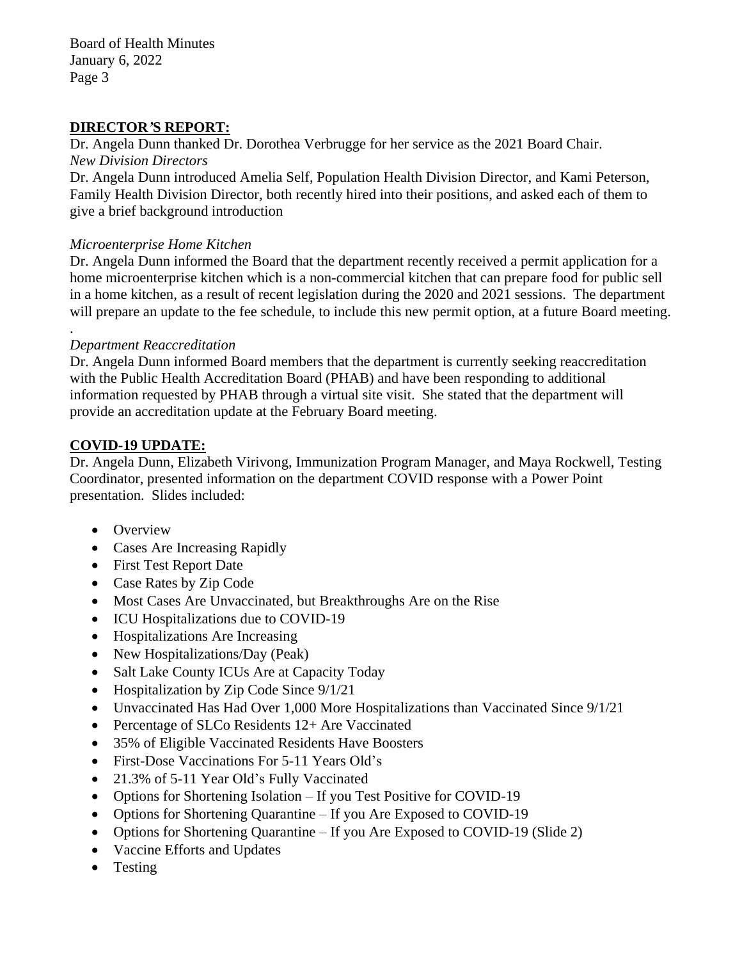Board of Health Minutes January 6, 2022 Page 3

# **DIRECTOR***'***S REPORT:**

Dr. Angela Dunn thanked Dr. Dorothea Verbrugge for her service as the 2021 Board Chair. *New Division Directors*

Dr. Angela Dunn introduced Amelia Self, Population Health Division Director, and Kami Peterson, Family Health Division Director, both recently hired into their positions, and asked each of them to give a brief background introduction

### *Microenterprise Home Kitchen*

Dr. Angela Dunn informed the Board that the department recently received a permit application for a home microenterprise kitchen which is a non-commercial kitchen that can prepare food for public sell in a home kitchen, as a result of recent legislation during the 2020 and 2021 sessions. The department will prepare an update to the fee schedule, to include this new permit option, at a future Board meeting.

# *Department Reaccreditation*

.

Dr. Angela Dunn informed Board members that the department is currently seeking reaccreditation with the Public Health Accreditation Board (PHAB) and have been responding to additional information requested by PHAB through a virtual site visit. She stated that the department will provide an accreditation update at the February Board meeting.

# **COVID-19 UPDATE:**

Dr. Angela Dunn, Elizabeth Virivong, Immunization Program Manager, and Maya Rockwell, Testing Coordinator, presented information on the department COVID response with a Power Point presentation. Slides included:

- Overview
- Cases Are Increasing Rapidly
- First Test Report Date
- Case Rates by Zip Code
- Most Cases Are Unvaccinated, but Breakthroughs Are on the Rise
- ICU Hospitalizations due to COVID-19
- Hospitalizations Are Increasing
- New Hospitalizations/Day (Peak)
- Salt Lake County ICUs Are at Capacity Today
- Hospitalization by Zip Code Since  $9/1/21$
- Unvaccinated Has Had Over 1,000 More Hospitalizations than Vaccinated Since 9/1/21
- Percentage of SLCo Residents 12+ Are Vaccinated
- 35% of Eligible Vaccinated Residents Have Boosters
- First-Dose Vaccinations For 5-11 Years Old's
- 21.3% of 5-11 Year Old's Fully Vaccinated
- Options for Shortening Isolation If you Test Positive for COVID-19
- Options for Shortening Quarantine If you Are Exposed to COVID-19
- Options for Shortening Quarantine If you Are Exposed to COVID-19 (Slide 2)
- Vaccine Efforts and Updates
- Testing